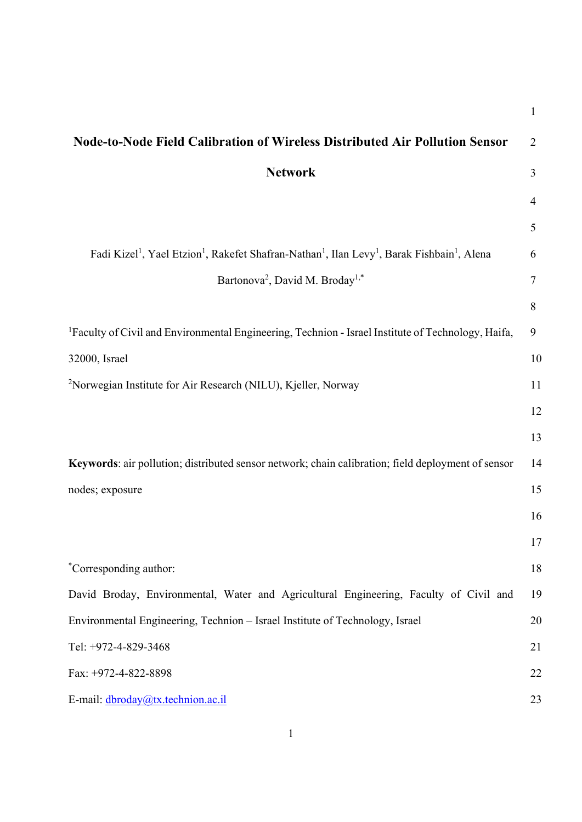| <b>Node-to-Node Field Calibration of Wireless Distributed Air Pollution Sensor</b>                                                                      | $\overline{2}$ |
|---------------------------------------------------------------------------------------------------------------------------------------------------------|----------------|
| <b>Network</b>                                                                                                                                          | 3              |
|                                                                                                                                                         | $\overline{4}$ |
|                                                                                                                                                         | 5              |
| Fadi Kizel <sup>1</sup> , Yael Etzion <sup>1</sup> , Rakefet Shafran-Nathan <sup>1</sup> , Ilan Levy <sup>1</sup> , Barak Fishbain <sup>1</sup> , Alena | 6              |
| Bartonova <sup>2</sup> , David M. Broday <sup>1,*</sup>                                                                                                 | 7              |
|                                                                                                                                                         | 8              |
| <sup>1</sup> Faculty of Civil and Environmental Engineering, Technion - Israel Institute of Technology, Haifa,                                          | 9              |
| 32000, Israel                                                                                                                                           | 10             |
| <sup>2</sup> Norwegian Institute for Air Research (NILU), Kjeller, Norway                                                                               | 11             |
|                                                                                                                                                         | 12             |
|                                                                                                                                                         | 13             |
| Keywords: air pollution; distributed sensor network; chain calibration; field deployment of sensor                                                      | 14             |
| nodes; exposure                                                                                                                                         | 15             |
|                                                                                                                                                         | 16             |
|                                                                                                                                                         | 17             |
| *Corresponding author:                                                                                                                                  | 18             |
| David Broday, Environmental, Water and Agricultural Engineering, Faculty of Civil and                                                                   | 19             |
| Environmental Engineering, Technion - Israel Institute of Technology, Israel                                                                            | 20             |
| Tel: +972-4-829-3468                                                                                                                                    | 21             |
| Fax: +972-4-822-8898                                                                                                                                    | 22             |
| E-mail: dbroday@tx.technion.ac.il                                                                                                                       | 23             |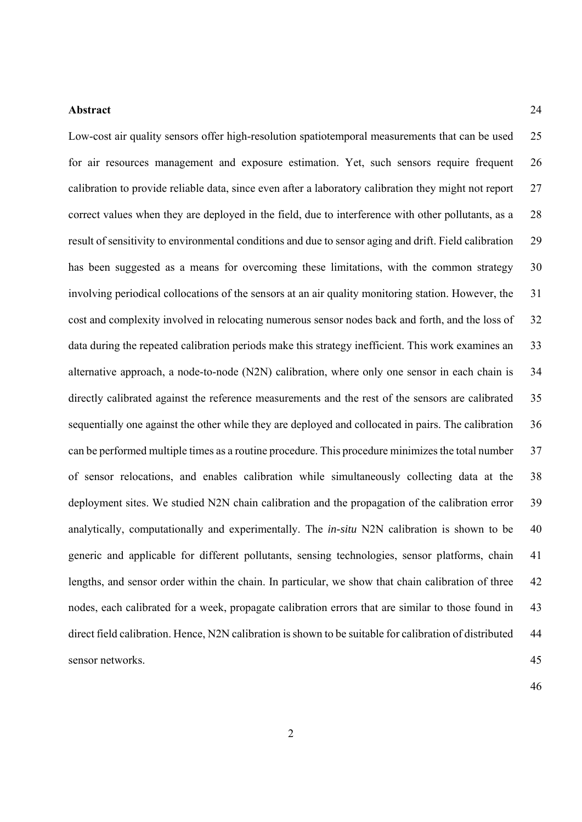#### **Abstract** 24

Low-cost air quality sensors offer high-resolution spatiotemporal measurements that can be used 25 for air resources management and exposure estimation. Yet, such sensors require frequent 26 calibration to provide reliable data, since even after a laboratory calibration they might not report 27 correct values when they are deployed in the field, due to interference with other pollutants, as a 28 result of sensitivity to environmental conditions and due to sensor aging and drift. Field calibration 29 has been suggested as a means for overcoming these limitations, with the common strategy 30 involving periodical collocations of the sensors at an air quality monitoring station. However, the 31 cost and complexity involved in relocating numerous sensor nodes back and forth, and the loss of 32 data during the repeated calibration periods make this strategy inefficient. This work examines an 33 alternative approach, a node-to-node (N2N) calibration, where only one sensor in each chain is 34 directly calibrated against the reference measurements and the rest of the sensors are calibrated 35 sequentially one against the other while they are deployed and collocated in pairs. The calibration 36 can be performed multiple times as a routine procedure. This procedure minimizes the total number 37 of sensor relocations, and enables calibration while simultaneously collecting data at the 38 deployment sites. We studied N2N chain calibration and the propagation of the calibration error 39 analytically, computationally and experimentally. The *in-situ* N2N calibration is shown to be 40 generic and applicable for different pollutants, sensing technologies, sensor platforms, chain 41 lengths, and sensor order within the chain. In particular, we show that chain calibration of three 42 nodes, each calibrated for a week, propagate calibration errors that are similar to those found in 43 direct field calibration. Hence, N2N calibration is shown to be suitable for calibration of distributed 44 sensor networks. 45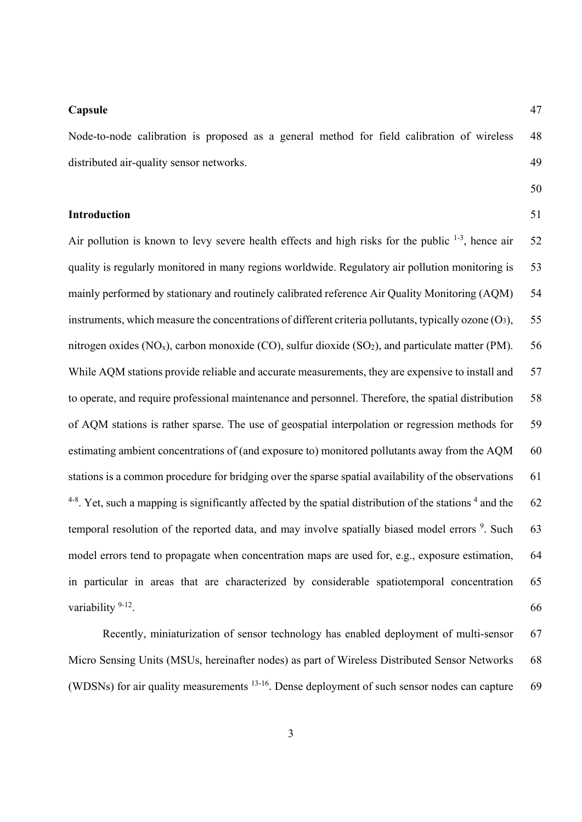#### **Capsule** 47

Node-to-node calibration is proposed as a general method for field calibration of wireless 48 distributed air-quality sensor networks. 49

# 50

**Introduction** 51

Air pollution is known to levy severe health effects and high risks for the public  $1-3$ , hence air 52 quality is regularly monitored in many regions worldwide. Regulatory air pollution monitoring is 53 mainly performed by stationary and routinely calibrated reference Air Quality Monitoring (AQM) 54 instruments, which measure the concentrations of different criteria pollutants, typically ozone  $(O_3)$ , 55 nitrogen oxides (NO<sub>x</sub>), carbon monoxide (CO), sulfur dioxide (SO<sub>2</sub>), and particulate matter (PM). 56 While AQM stations provide reliable and accurate measurements, they are expensive to install and 57 to operate, and require professional maintenance and personnel. Therefore, the spatial distribution 58 of AQM stations is rather sparse. The use of geospatial interpolation or regression methods for 59 estimating ambient concentrations of (and exposure to) monitored pollutants away from the AQM 60 stations is a common procedure for bridging over the sparse spatial availability of the observations 61  $4-8$ . Yet, such a mapping is significantly affected by the spatial distribution of the stations  $4$  and the 62 temporal resolution of the reported data, and may involve spatially biased model errors  $9$ . Such 63 model errors tend to propagate when concentration maps are used for, e.g., exposure estimation, 64 in particular in areas that are characterized by considerable spatiotemporal concentration 65 variability  $9-12$ . 66

Recently, miniaturization of sensor technology has enabled deployment of multi-sensor 67 Micro Sensing Units (MSUs, hereinafter nodes) as part of Wireless Distributed Sensor Networks 68 (WDSNs) for air quality measurements <sup>13-16</sup>. Dense deployment of such sensor nodes can capture 69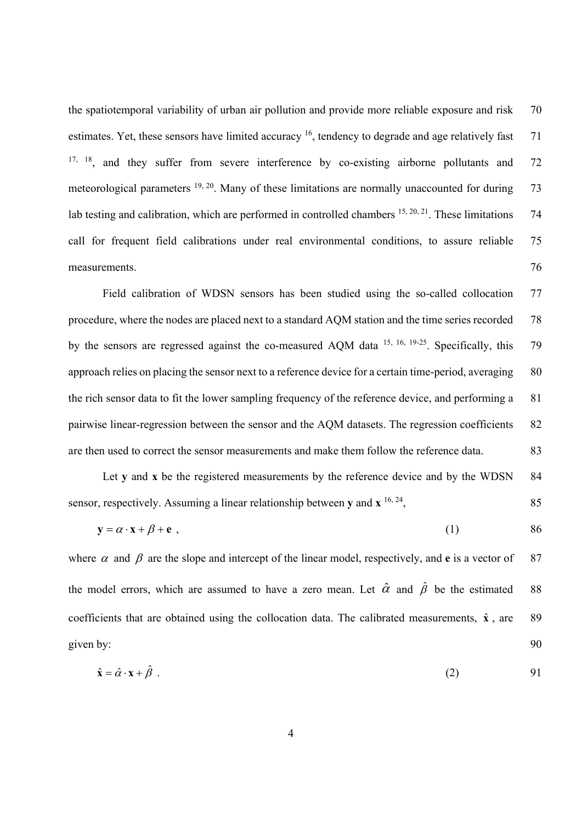the spatiotemporal variability of urban air pollution and provide more reliable exposure and risk 70 estimates. Yet, these sensors have limited accuracy <sup>16</sup>, tendency to degrade and age relatively fast 71  $17, 18$ , and they suffer from severe interference by co-existing airborne pollutants and 72 meteorological parameters <sup>19, 20</sup>. Many of these limitations are normally unaccounted for during 73 lab testing and calibration, which are performed in controlled chambers  $^{15, 20, 21}$ . These limitations 74 call for frequent field calibrations under real environmental conditions, to assure reliable 75 measurements. 76

Field calibration of WDSN sensors has been studied using the so-called collocation 77 procedure, where the nodes are placed next to a standard AQM station and the time series recorded 78 by the sensors are regressed against the co-measured AQM data <sup>15, 16, 19-25</sup>. Specifically, this 79 approach relies on placing the sensor next to a reference device for a certain time-period, averaging 80 the rich sensor data to fit the lower sampling frequency of the reference device, and performing a 81 pairwise linear-regression between the sensor and the AQM datasets. The regression coefficients 82 are then used to correct the sensor measurements and make them follow the reference data. 83

Let **y** and **x** be the registered measurements by the reference device and by the WDSN 84 sensor, respectively. Assuming a linear relationship between **y** and  $\mathbf{x}^{16, 24}$ , 85

$$
y = \alpha \cdot x + \beta + e \t{86}
$$

where  $\alpha$  and  $\beta$  are the slope and intercept of the linear model, respectively, and **e** is a vector of 87 the model errors, which are assumed to have a zero mean. Let  $\hat{\alpha}$  and  $\hat{\beta}$  be the estimated 88 coefficients that are obtained using the collocation data. The calibrated measurements,  $\hat{x}$ , are 89 given by: 90

$$
\hat{\mathbf{x}} = \hat{\alpha} \cdot \mathbf{x} + \hat{\beta} \tag{2}
$$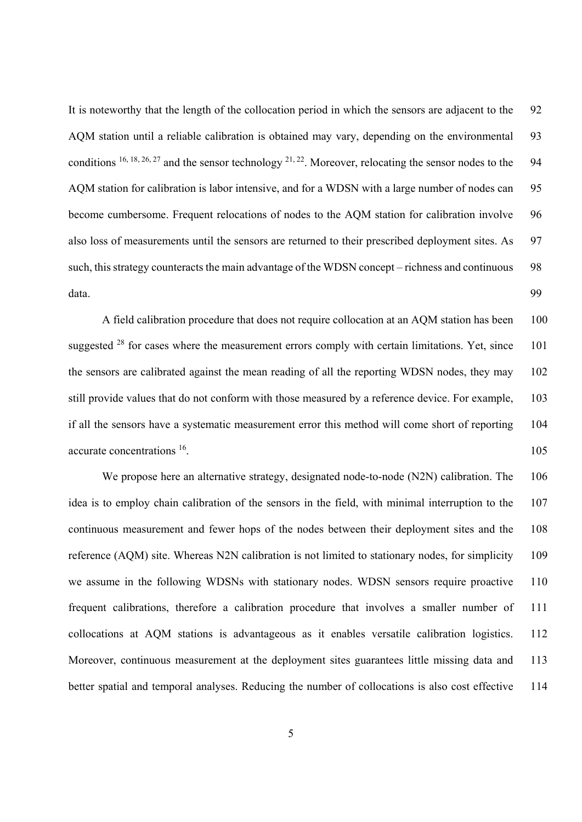It is noteworthy that the length of the collocation period in which the sensors are adjacent to the 92 AQM station until a reliable calibration is obtained may vary, depending on the environmental 93 conditions <sup>16, 18, 26, 27</sup> and the sensor technology <sup>21, 22</sup>. Moreover, relocating the sensor nodes to the 94 AQM station for calibration is labor intensive, and for a WDSN with a large number of nodes can 95 become cumbersome. Frequent relocations of nodes to the AQM station for calibration involve 96 also loss of measurements until the sensors are returned to their prescribed deployment sites. As 97 such, this strategy counteracts the main advantage of the WDSN concept – richness and continuous 98 data. 99

A field calibration procedure that does not require collocation at an AQM station has been 100 suggested <sup>28</sup> for cases where the measurement errors comply with certain limitations. Yet, since 101 the sensors are calibrated against the mean reading of all the reporting WDSN nodes, they may 102 still provide values that do not conform with those measured by a reference device. For example, 103 if all the sensors have a systematic measurement error this method will come short of reporting 104 accurate concentrations <sup>16</sup>. 105

We propose here an alternative strategy, designated node-to-node (N2N) calibration. The 106 idea is to employ chain calibration of the sensors in the field, with minimal interruption to the 107 continuous measurement and fewer hops of the nodes between their deployment sites and the 108 reference (AQM) site. Whereas N2N calibration is not limited to stationary nodes, for simplicity 109 we assume in the following WDSNs with stationary nodes. WDSN sensors require proactive 110 frequent calibrations, therefore a calibration procedure that involves a smaller number of 111 collocations at AQM stations is advantageous as it enables versatile calibration logistics. 112 Moreover, continuous measurement at the deployment sites guarantees little missing data and 113 better spatial and temporal analyses. Reducing the number of collocations is also cost effective 114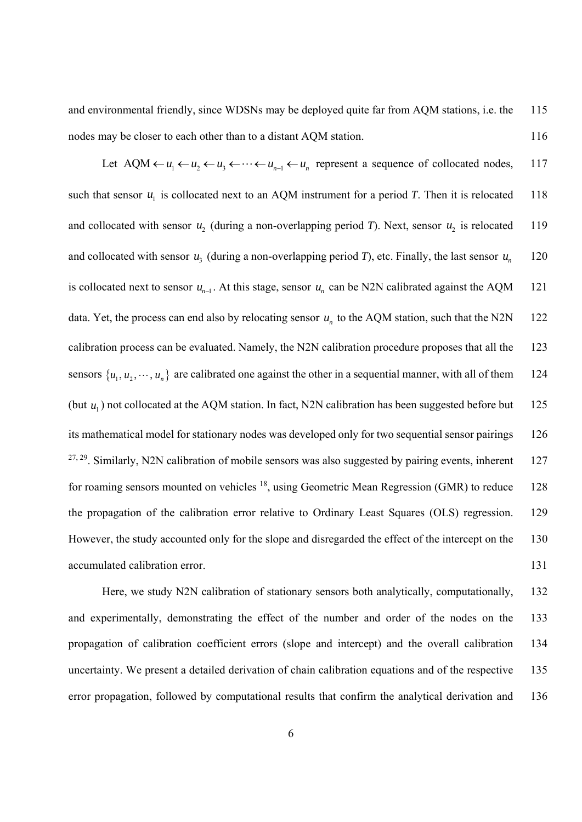and environmental friendly, since WDSNs may be deployed quite far from AQM stations, i.e. the 115 nodes may be closer to each other than to a distant AOM station. 116

Let AQM  $\leftarrow u_1 \leftarrow u_2 \leftarrow u_3 \leftarrow \cdots \leftarrow u_{n-1} \leftarrow u_n$  represent a sequence of collocated nodes, 117 such that sensor  $u_1$  is collocated next to an AQM instrument for a period *T*. Then it is relocated 118 and collocated with sensor  $u_2$  (during a non-overlapping period *T*). Next, sensor  $u_2$  is relocated 119 and collocated with sensor  $u_3$  (during a non-overlapping period *T*), etc. Finally, the last sensor  $u_n$  120 is collocated next to sensor  $u_{n-1}$ . At this stage, sensor  $u_n$  can be N2N calibrated against the AQM 121 data. Yet, the process can end also by relocating sensor  $u_n$  to the AQM station, such that the N2N 122 calibration process can be evaluated. Namely, the N2N calibration procedure proposes that all the 123 sensors  $\{u_1, u_2, \dots, u_n\}$  are calibrated one against the other in a sequential manner, with all of them 124 (but  $u_1$ ) not collocated at the AQM station. In fact, N2N calibration has been suggested before but 125 its mathematical model for stationary nodes was developed only for two sequential sensor pairings 126  $27, 29$ . Similarly, N2N calibration of mobile sensors was also suggested by pairing events, inherent 127 for roaming sensors mounted on vehicles <sup>18</sup>, using Geometric Mean Regression (GMR) to reduce 128 the propagation of the calibration error relative to Ordinary Least Squares (OLS) regression. 129 However, the study accounted only for the slope and disregarded the effect of the intercept on the 130 accumulated calibration error. 131

Here, we study N2N calibration of stationary sensors both analytically, computationally, 132 and experimentally, demonstrating the effect of the number and order of the nodes on the 133 propagation of calibration coefficient errors (slope and intercept) and the overall calibration 134 uncertainty. We present a detailed derivation of chain calibration equations and of the respective 135 error propagation, followed by computational results that confirm the analytical derivation and 136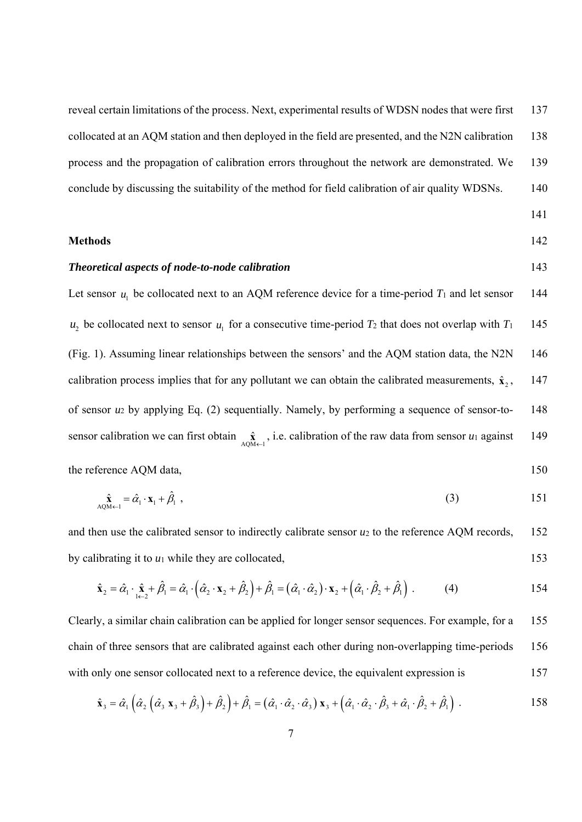reveal certain limitations of the process. Next, experimental results of WDSN nodes that were first 137 collocated at an AQM station and then deployed in the field are presented, and the N2N calibration 138 process and the propagation of calibration errors throughout the network are demonstrated. We 139 conclude by discussing the suitability of the method for field calibration of air quality WDSNs. 140

#### **Methods** 142

# 141

# *Theoretical aspects of node-to-node calibration* 143

Let sensor  $u_1$  be collocated next to an AQM reference device for a time-period  $T_1$  and let sensor 144  $u_2$  be collocated next to sensor  $u_1$  for a consecutive time-period  $T_2$  that does not overlap with  $T_1$  145 (Fig. 1). Assuming linear relationships between the sensors' and the AQM station data, the N2N 146 calibration process implies that for any pollutant we can obtain the calibrated measurements,  $\hat{\mathbf{x}}_2$ , 147 of sensor *u*2 by applying Eq. (2) sequentially. Namely, by performing a sequence of sensor-to- 148 sensor calibration we can first obtain  $\hat{\mathbf{x}}_{\text{AQM}\leftarrow 1}$ , i.e. calibration of the raw data from sensor *u*<sub>1</sub> against 149

the reference AQM data, 150

$$
\hat{\mathbf{x}}_{\text{AQM}\leftarrow 1} = \hat{\alpha}_1 \cdot \mathbf{x}_1 + \hat{\beta}_1 \tag{3}
$$

and then use the calibrated sensor to indirectly calibrate sensor *u*2 to the reference AQM records, 152 by calibrating it to  $u_1$  while they are collocated, 153

$$
\hat{\mathbf{x}}_2 = \hat{\alpha}_1 \cdot \hat{\mathbf{x}}_1 + \hat{\beta}_1 = \hat{\alpha}_1 \cdot \left( \hat{\alpha}_2 \cdot \mathbf{x}_2 + \hat{\beta}_2 \right) + \hat{\beta}_1 = \left( \hat{\alpha}_1 \cdot \hat{\alpha}_2 \right) \cdot \mathbf{x}_2 + \left( \hat{\alpha}_1 \cdot \hat{\beta}_2 + \hat{\beta}_1 \right) . \tag{4}
$$

Clearly, a similar chain calibration can be applied for longer sensor sequences. For example, for a 155 chain of three sensors that are calibrated against each other during non-overlapping time-periods 156 with only one sensor collocated next to a reference device, the equivalent expression is 157

$$
\hat{\mathbf{x}}_3 = \hat{\alpha}_1 \left( \hat{\alpha}_2 \left( \hat{\alpha}_3 \mathbf{x}_3 + \hat{\beta}_3 \right) + \hat{\beta}_2 \right) + \hat{\beta}_1 = \left( \hat{\alpha}_1 \cdot \hat{\alpha}_2 \cdot \hat{\alpha}_3 \right) \mathbf{x}_3 + \left( \hat{\alpha}_1 \cdot \hat{\alpha}_2 \cdot \hat{\beta}_3 + \hat{\alpha}_1 \cdot \hat{\beta}_2 + \hat{\beta}_1 \right) .
$$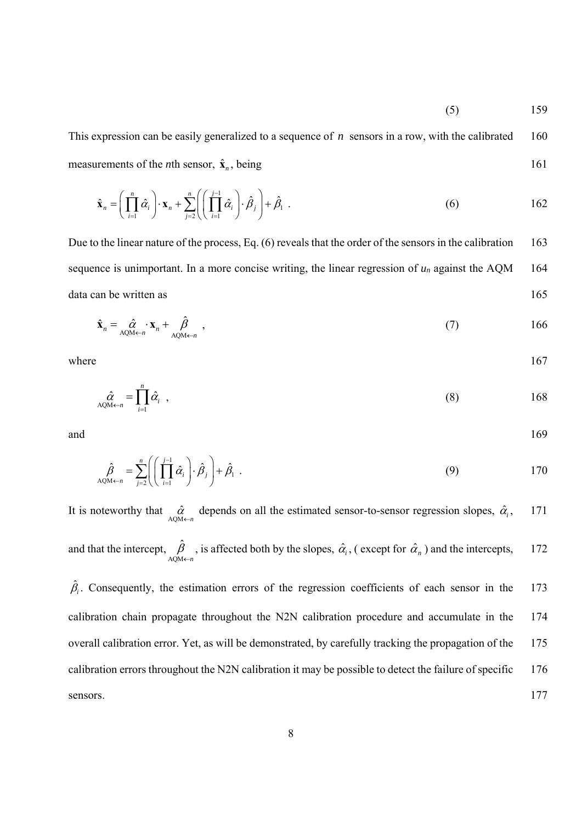$(5)$  159

This expression can be easily generalized to a sequence of *n* sensors in a row, with the calibrated 160 measurements of the *n*th sensor,  $\hat{\mathbf{x}}_n$ , being 161

$$
\hat{\mathbf{x}}_n = \left(\prod_{i=1}^n \hat{\alpha}_i\right) \cdot \mathbf{x}_n + \sum_{j=2}^n \left(\left(\prod_{i=1}^{j-1} \hat{\alpha}_i\right) \cdot \hat{\beta}_j\right) + \hat{\beta}_1 \tag{6}
$$

Due to the linear nature of the process, Eq. (6) reveals that the order of the sensors in the calibration 163 sequence is unimportant. In a more concise writing, the linear regression of  $u_n$  against the AQM 164 data can be written as 165

$$
\hat{\mathbf{x}}_n = \hat{\alpha}_{A \text{QM}\leftarrow n} \cdot \mathbf{x}_n + \hat{\beta}_{A \text{QM}\leftarrow n} \tag{7}
$$

where  $167$ 

$$
\hat{\alpha}_{AQM \leftarrow n} = \prod_{i=1}^{n} \hat{\alpha}_i , \qquad (8)
$$

and 169

$$
\hat{\beta}_{\text{AQM}\leftarrow n} = \sum_{j=2}^{n} \left( \left( \prod_{i=1}^{j-1} \hat{\alpha}_i \right) \cdot \hat{\beta}_j \right) + \hat{\beta}_1 \tag{9}
$$

It is noteworthy that  $\hat{\alpha}$  depends on all the estimated sensor-to-sensor regression slopes,  $\hat{\alpha}_i$ , 171 and that the intercept, AQM ˆ *n*  $_{\beta}$  $\hat{\mathcal{C}}_{\leftarrow n}$ , is affected both by the slopes,  $\hat{\alpha}_i$ , (except for  $\hat{\alpha}_n$ ) and the intercepts, 172

 $\hat{\beta}_i$ . Consequently, the estimation errors of the regression coefficients of each sensor in the 173 calibration chain propagate throughout the N2N calibration procedure and accumulate in the 174 overall calibration error. Yet, as will be demonstrated, by carefully tracking the propagation of the 175 calibration errors throughout the N2N calibration it may be possible to detect the failure of specific 176 sensors. 177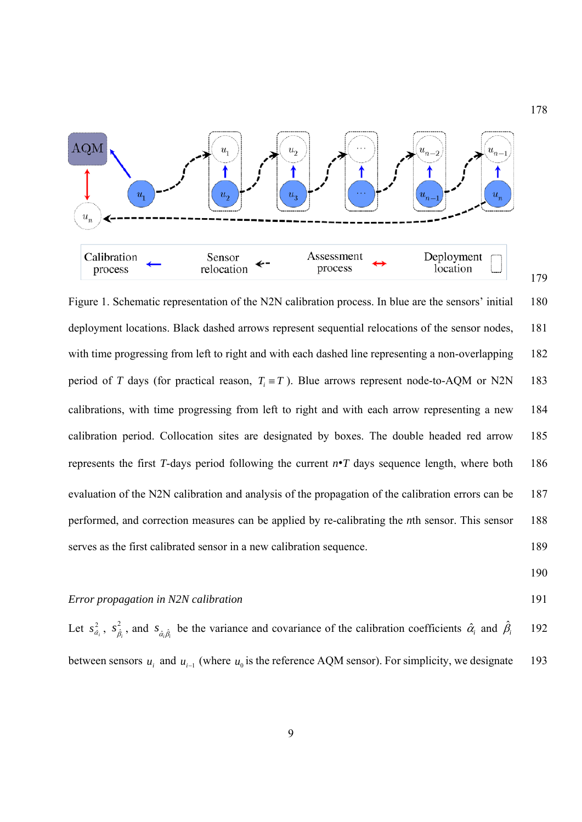

Figure 1. Schematic representation of the N2N calibration process. In blue are the sensors' initial 180 deployment locations. Black dashed arrows represent sequential relocations of the sensor nodes, 181 with time progressing from left to right and with each dashed line representing a non-overlapping 182 period of *T* days (for practical reason,  $T_i \equiv T$ ). Blue arrows represent node-to-AQM or N2N 183 calibrations, with time progressing from left to right and with each arrow representing a new 184 calibration period. Collocation sites are designated by boxes. The double headed red arrow 185 represents the first *T*-days period following the current *n*·*T* days sequence length, where both 186 evaluation of the N2N calibration and analysis of the propagation of the calibration errors can be 187 performed, and correction measures can be applied by re-calibrating the *n*th sensor. This sensor 188 serves as the first calibrated sensor in a new calibration sequence. 189

178

# *Error propagation in N2N calibration* 191

Let  $s_{\hat{\alpha}_i}^2$ ,  $s_{\hat{\beta}_i}^2$ , and  $s_{\hat{\alpha}_i\hat{\beta}_i}$  be the variance and covariance of the calibration coefficients  $\hat{\alpha}_i$  and  $\hat{\beta}$ *i* 192 between sensors  $u_i$  and  $u_{i-1}$  (where  $u_0$  is the reference AQM sensor). For simplicity, we designate 193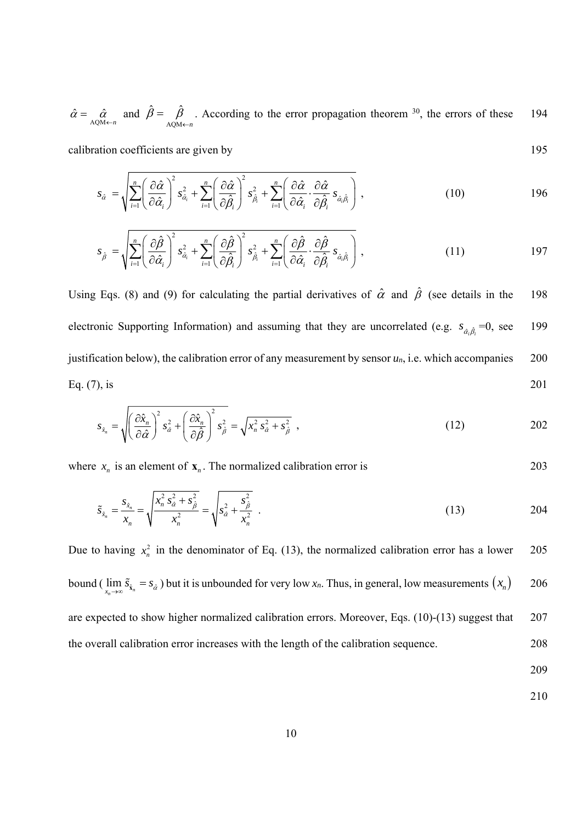$\hat{\alpha} = \hat{\alpha}$  and AQM  $\hat{B} = \hat{B}$ *n*  $\beta = \beta$  $\leftarrow$  $=$   $\beta$  . According to the error propagation theorem <sup>30</sup>, the errors of these 194

calibration coefficients are given by 195

$$
s_{\hat{\alpha}} = \sqrt{\sum_{i=1}^{n} \left(\frac{\partial \hat{\alpha}}{\partial \hat{\alpha}_i}\right)^2 s_{\hat{\alpha}_i}^2 + \sum_{i=1}^{n} \left(\frac{\partial \hat{\alpha}}{\partial \hat{\beta}_i}\right)^2 s_{\hat{\beta}_i}^2 + \sum_{i=1}^{n} \left(\frac{\partial \hat{\alpha}}{\partial \hat{\alpha}_i} \cdot \frac{\partial \hat{\alpha}}{\partial \hat{\beta}_i} s_{\hat{\alpha}_i \hat{\beta}_i}\right),
$$
(10)

$$
s_{\hat{\beta}} = \sqrt{\sum_{i=1}^{n} \left(\frac{\partial \hat{\beta}}{\partial \hat{\alpha}_i}\right)^2 s_{\hat{\alpha}_i}^2 + \sum_{i=1}^{n} \left(\frac{\partial \hat{\beta}}{\partial \hat{\beta}_i}\right)^2 s_{\hat{\beta}_i}^2 + \sum_{i=1}^{n} \left(\frac{\partial \hat{\beta}}{\partial \hat{\alpha}_i} \cdot \frac{\partial \hat{\beta}}{\partial \hat{\beta}_i} s_{\hat{\alpha}_i \hat{\beta}_i}\right),
$$
(11)

Using Eqs. (8) and (9) for calculating the partial derivatives of  $\hat{\alpha}$  and  $\hat{\beta}$  (see details in the 198 electronic Supporting Information) and assuming that they are uncorrelated (e.g.  $s_{\hat{\alpha},\hat{\beta}} = 0$ , see 199 justification below), the calibration error of any measurement by sensor  $u_n$ , i.e. which accompanies 200 Eq. (7), is 201

$$
s_{\hat{x}_n} = \sqrt{\left(\frac{\partial \hat{x}_n}{\partial \hat{\alpha}}\right)^2 s_{\hat{\alpha}}^2 + \left(\frac{\partial \hat{x}_n}{\partial \hat{\beta}}\right)^2 s_{\hat{\beta}}^2} = \sqrt{x_n^2 s_{\hat{\alpha}}^2 + s_{\hat{\beta}}^2},
$$
\n(12)

where  $x_n$  is an element of  $\mathbf{x}_n$ . The normalized calibration error is 203

$$
\tilde{s}_{\hat{x}_n} = \frac{s_{\hat{x}_n}}{x_n} = \sqrt{\frac{x_n^2 s_{\hat{\alpha}}^2 + s_{\hat{\beta}}^2}{x_n^2}} = \sqrt{s_{\hat{\alpha}}^2 + \frac{s_{\hat{\beta}}^2}{x_n^2}} \tag{13}
$$

Due to having  $x_n^2$  in the denominator of Eq. (13), the normalized calibration error has a lower 205 bound ( $\lim_{x_n\to\infty} \tilde{s}_{\hat{x}_n} = s_{\hat{\alpha}}$ ) but it is unbounded for very low  $x_n$ . Thus, in general, low measurements  $(x_n)$  206 are expected to show higher normalized calibration errors. Moreover, Eqs. (10)-(13) suggest that 207 the overall calibration error increases with the length of the calibration sequence. 208

209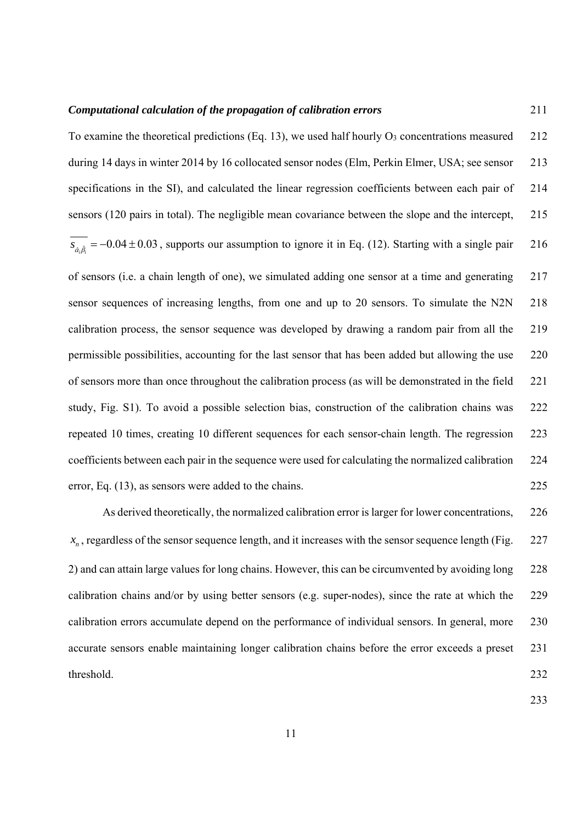#### *Computational calculation of the propagation of calibration errors* 211

To examine the theoretical predictions (Eq. 13), we used half hourly  $O_3$  concentrations measured 212 during 14 days in winter 2014 by 16 collocated sensor nodes (Elm, Perkin Elmer, USA; see sensor 213 specifications in the SI), and calculated the linear regression coefficients between each pair of 214 sensors (120 pairs in total). The negligible mean covariance between the slope and the intercept, 215  $s_{\hat{\alpha}, \hat{\beta}_i} = -0.04 \pm 0.03$ , supports our assumption to ignore it in Eq. (12). Starting with a single pair 216 of sensors (i.e. a chain length of one), we simulated adding one sensor at a time and generating 217 sensor sequences of increasing lengths, from one and up to 20 sensors. To simulate the N2N 218 calibration process, the sensor sequence was developed by drawing a random pair from all the 219 permissible possibilities, accounting for the last sensor that has been added but allowing the use 220 of sensors more than once throughout the calibration process (as will be demonstrated in the field 221 study, Fig. S1). To avoid a possible selection bias, construction of the calibration chains was 222 repeated 10 times, creating 10 different sequences for each sensor-chain length. The regression 223 coefficients between each pair in the sequence were used for calculating the normalized calibration 224 error, Eq. (13), as sensors were added to the chains. 225

As derived theoretically, the normalized calibration error is larger for lower concentrations, 226  $x_n$ , regardless of the sensor sequence length, and it increases with the sensor sequence length (Fig.  $227$ 2) and can attain large values for long chains. However, this can be circumvented by avoiding long 228 calibration chains and/or by using better sensors (e.g. super-nodes), since the rate at which the 229 calibration errors accumulate depend on the performance of individual sensors. In general, more 230 accurate sensors enable maintaining longer calibration chains before the error exceeds a preset 231 threshold. 232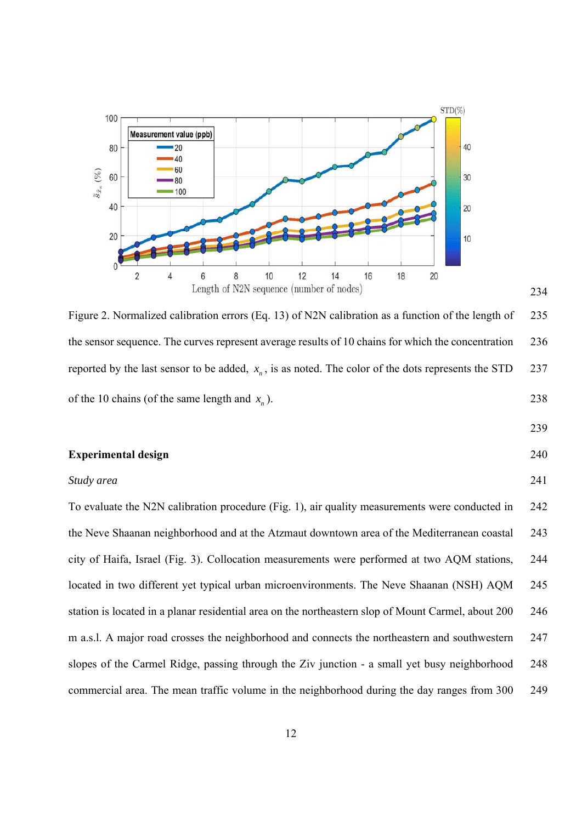

Figure 2. Normalized calibration errors (Eq. 13) of N2N calibration as a function of the length of 235 the sensor sequence. The curves represent average results of 10 chains for which the concentration 236 reported by the last sensor to be added,  $x_n$ , is as noted. The color of the dots represents the STD 237 of the 10 chains (of the same length and  $x_n$ ). 238

#### 239

234

# **Experimental design** 240

# *Study area* 241

To evaluate the N2N calibration procedure (Fig. 1), air quality measurements were conducted in 242 the Neve Shaanan neighborhood and at the Atzmaut downtown area of the Mediterranean coastal 243 city of Haifa, Israel (Fig. 3). Collocation measurements were performed at two AQM stations, 244 located in two different yet typical urban microenvironments. The Neve Shaanan (NSH) AQM 245 station is located in a planar residential area on the northeastern slop of Mount Carmel, about 200 246 m a.s.l. A major road crosses the neighborhood and connects the northeastern and southwestern 247 slopes of the Carmel Ridge, passing through the Ziv junction - a small yet busy neighborhood 248 commercial area. The mean traffic volume in the neighborhood during the day ranges from 300 249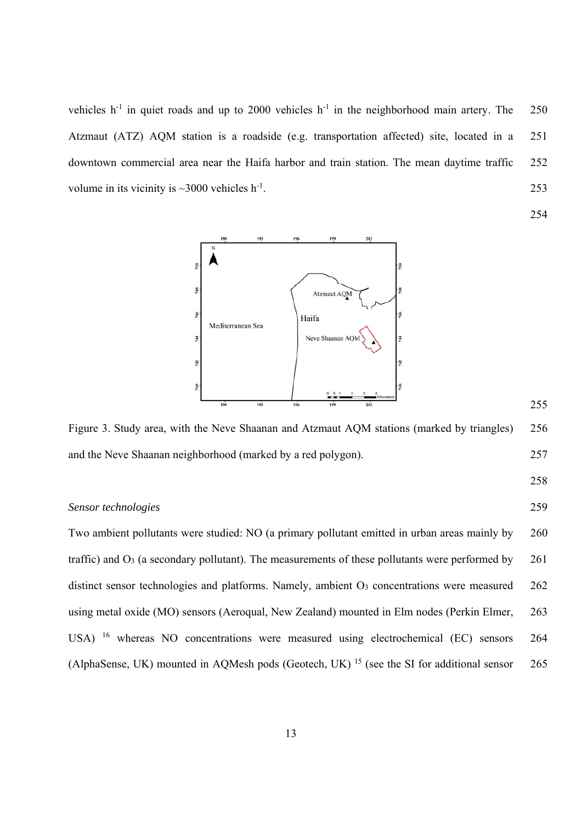vehicles  $h^{-1}$  in quiet roads and up to 2000 vehicles  $h^{-1}$  in the neighborhood main artery. The 250 Atzmaut (ATZ) AQM station is a roadside (e.g. transportation affected) site, located in a 251 downtown commercial area near the Haifa harbor and train station. The mean daytime traffic 252 volume in its vicinity is  $\sim$  3000 vehicles h<sup>-1</sup>. 253

254



Figure 3. Study area, with the Neve Shaanan and Atzmaut AQM stations (marked by triangles) 256 and the Neve Shaanan neighborhood (marked by a red polygon). 257

258

255

#### *Sensor technologies* 259

Two ambient pollutants were studied: NO (a primary pollutant emitted in urban areas mainly by 260 traffic) and  $\Omega_3$  (a secondary pollutant). The measurements of these pollutants were performed by 261 distinct sensor technologies and platforms. Namely, ambient  $O<sub>3</sub>$  concentrations were measured 262 using metal oxide (MO) sensors (Aeroqual, New Zealand) mounted in Elm nodes (Perkin Elmer, 263 USA) 16 whereas NO concentrations were measured using electrochemical (EC) sensors 264 (AlphaSense, UK) mounted in AQMesh pods (Geotech, UK)<sup>15</sup> (see the SI for additional sensor 265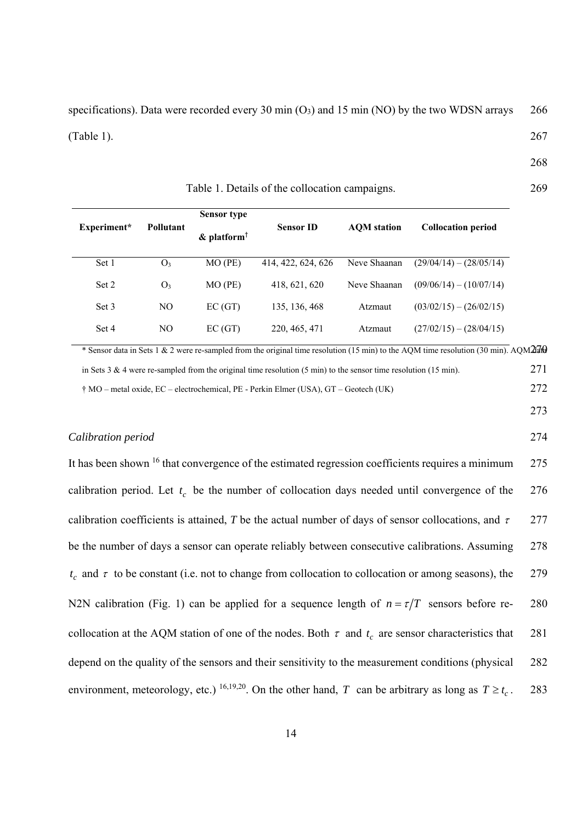specifications). Data were recorded every 30 min  $(O_3)$  and 15 min  $(NO)$  by the two WDSN arrays 266  $(Table 1).$  267

268

|             |                  | <b>Sensor type</b>         |                    |                    |                           |
|-------------|------------------|----------------------------|--------------------|--------------------|---------------------------|
| Experiment* | <b>Pollutant</b> | $\&$ platform <sup>†</sup> | <b>Sensor ID</b>   | <b>AOM</b> station | <b>Collocation period</b> |
| Set 1       | O <sub>3</sub>   | $MO$ (PE)                  | 414, 422, 624, 626 | Neve Shaanan       | $(29/04/14) - (28/05/14)$ |
| Set 2       | O <sub>3</sub>   | $MO$ (PE)                  | 418, 621, 620      | Neve Shaanan       | $(09/06/14) - (10/07/14)$ |
| Set 3       | N <sub>O</sub>   | EC(GT)                     | 135, 136, 468      | Atzmaut            | $(03/02/15) - (26/02/15)$ |
| Set 4       | NO               | EC(GT)                     | 220, 465, 471      | Atzmaut            | $(27/02/15) - (28/04/15)$ |

\* Sensor data in Sets 1 & 2 were re-sampled from the original time resolution (15 min) to the AQM time resolution (30 min). AQM270 in Sets 3 & 4 were re-sampled from the original time resolution (5 min) to the sensor time resolution (15 min). 271

† MO – metal oxide, EC – electrochemical, PE - Perkin Elmer (USA), GT – Geotech (UK) 272

273

# *Calibration period* 274

It has been shown <sup>16</sup> that convergence of the estimated regression coefficients requires a minimum 275 calibration period. Let  $t_c$  be the number of collocation days needed until convergence of the 276 calibration coefficients is attained. *T* be the actual number of days of sensor collocations, and  $\tau = 277$ be the number of days a sensor can operate reliably between consecutive calibrations. Assuming 278  $t_c$  and  $\tau$  to be constant (i.e. not to change from collocation to collocation or among seasons), the 279 N2N calibration (Fig. 1) can be applied for a sequence length of  $n = \tau/T$  sensors before re- 280 collocation at the AQM station of one of the nodes. Both  $\tau$  and  $t_c$  are sensor characteristics that 281 depend on the quality of the sensors and their sensitivity to the measurement conditions (physical 282 environment, meteorology, etc.) <sup>16,19,20</sup>. On the other hand, *T* can be arbitrary as long as  $T \ge t_c$ . 283

Table 1. Details of the collocation campaigns. 269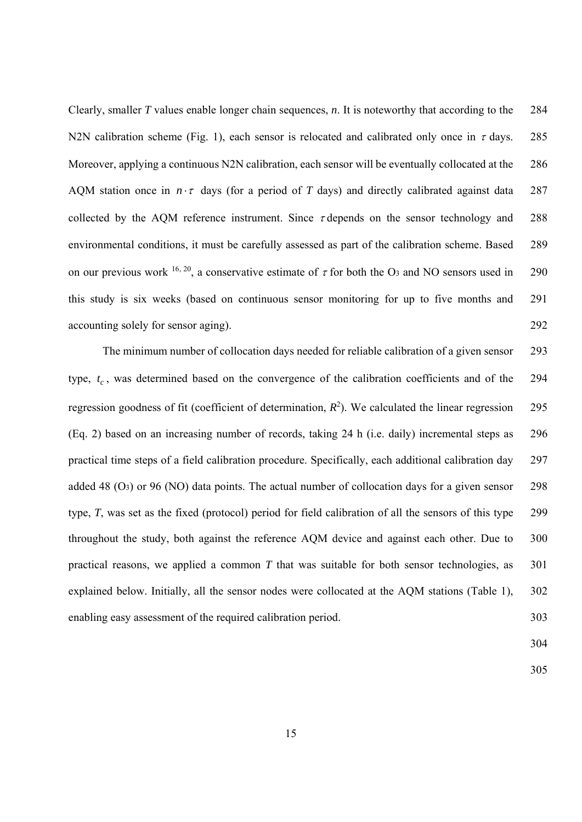Clearly, smaller *T* values enable longer chain sequences, *n*. It is noteworthy that according to the 284 N2N calibration scheme (Fig. 1), each sensor is relocated and calibrated only once in  $\tau$  days. 285 Moreover, applying a continuous N2N calibration, each sensor will be eventually collocated at the 286 AQM station once in  $n \cdot \tau$  days (for a period of *T* days) and directly calibrated against data 287 collected by the AQM reference instrument. Since  $\tau$  depends on the sensor technology and 288 environmental conditions, it must be carefully assessed as part of the calibration scheme. Based 289 on our previous work <sup>16, 20</sup>, a conservative estimate of  $\tau$  for both the O<sub>3</sub> and NO sensors used in 290 this study is six weeks (based on continuous sensor monitoring for up to five months and 291 accounting solely for sensor aging). 292

The minimum number of collocation days needed for reliable calibration of a given sensor 293 type,  $t_c$ , was determined based on the convergence of the calibration coefficients and of the 294 regression goodness of fit (coefficient of determination,  $R^2$ ). We calculated the linear regression 295 (Eq. 2) based on an increasing number of records, taking 24 h (i.e. daily) incremental steps as 296 practical time steps of a field calibration procedure. Specifically, each additional calibration day 297 added 48  $(O_3)$  or 96 (NO) data points. The actual number of collocation days for a given sensor 298 type, *T*, was set as the fixed (protocol) period for field calibration of all the sensors of this type 299 throughout the study, both against the reference AQM device and against each other. Due to 300 practical reasons, we applied a common *T* that was suitable for both sensor technologies, as 301 explained below. Initially, all the sensor nodes were collocated at the AQM stations (Table 1), 302 enabling easy assessment of the required calibration period. 303

304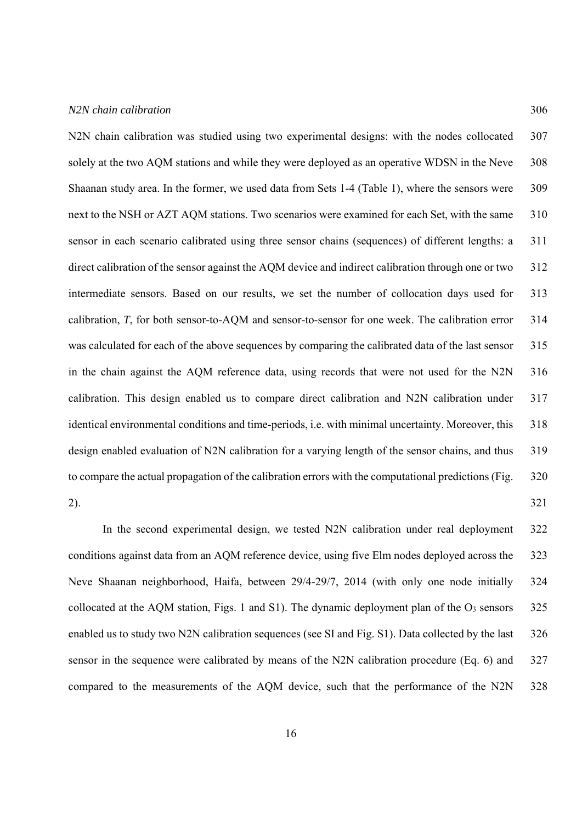# *N2N chain calibration* 306

N2N chain calibration was studied using two experimental designs: with the nodes collocated 307 solely at the two AOM stations and while they were deployed as an operative WDSN in the Neve 308 Shaanan study area. In the former, we used data from Sets 1-4 (Table 1), where the sensors were 309 next to the NSH or AZT AQM stations. Two scenarios were examined for each Set, with the same 310 sensor in each scenario calibrated using three sensor chains (sequences) of different lengths: a 311 direct calibration of the sensor against the AQM device and indirect calibration through one or two 312 intermediate sensors. Based on our results, we set the number of collocation days used for 313 calibration, *T*, for both sensor-to-AQM and sensor-to-sensor for one week. The calibration error 314 was calculated for each of the above sequences by comparing the calibrated data of the last sensor 315 in the chain against the AQM reference data, using records that were not used for the N2N 316 calibration. This design enabled us to compare direct calibration and N2N calibration under 317 identical environmental conditions and time-periods, i.e. with minimal uncertainty. Moreover, this 318 design enabled evaluation of N2N calibration for a varying length of the sensor chains, and thus 319 to compare the actual propagation of the calibration errors with the computational predictions (Fig. 320 2). 321

In the second experimental design, we tested N2N calibration under real deployment 322 conditions against data from an AQM reference device, using five Elm nodes deployed across the 323 Neve Shaanan neighborhood, Haifa, between 29/4-29/7, 2014 (with only one node initially 324 collocated at the AQM station, Figs. 1 and S1). The dynamic deployment plan of the O3 sensors 325 enabled us to study two N2N calibration sequences (see SI and Fig. S1). Data collected by the last 326 sensor in the sequence were calibrated by means of the N2N calibration procedure (Eq. 6) and 327 compared to the measurements of the AQM device, such that the performance of the N2N 328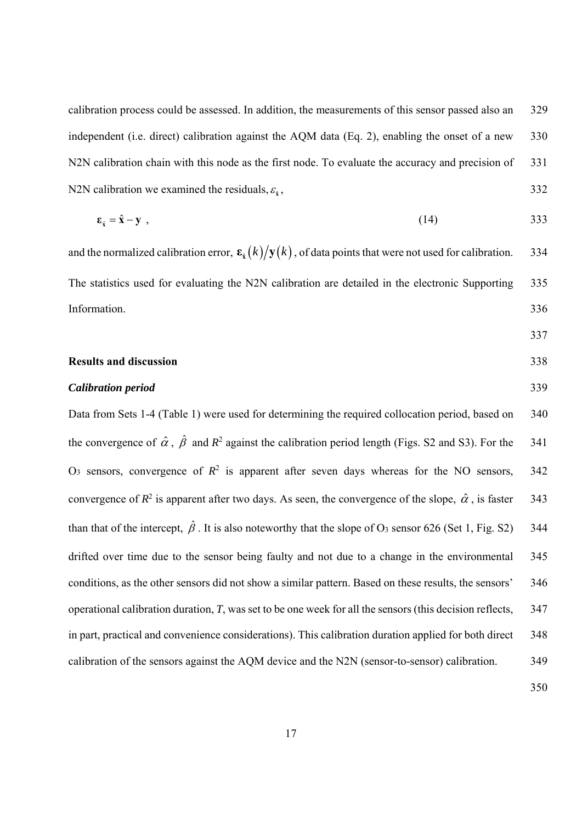calibration process could be assessed. In addition, the measurements of this sensor passed also an 329 independent (i.e. direct) calibration against the AQM data (Eq. 2), enabling the onset of a new 330 N2N calibration chain with this node as the first node. To evaluate the accuracy and precision of 331 N2N calibration we examined the residuals,  $\varepsilon_{\hat{x}}$ , 332

$$
\varepsilon_{\hat{x}} = \hat{x} - y \tag{14} \tag{333}
$$

and the normalized calibration error,  $\epsilon_{\hat{x}}(k)/y(k)$ , of data points that were not used for calibration. 334 The statistics used for evaluating the N2N calibration are detailed in the electronic Supporting 335 Information. 336

#### **Results and discussion** 338

#### *Calibration period* 339

Data from Sets 1-4 (Table 1) were used for determining the required collocation period, based on 340 the convergence of  $\hat{\alpha}$ ,  $\hat{\beta}$  and  $R^2$  against the calibration period length (Figs. S2 and S3). For the 341 O<sub>3</sub> sensors, convergence of  $R^2$  is apparent after seven days whereas for the NO sensors, 342 convergence of  $R^2$  is apparent after two days. As seen, the convergence of the slope,  $\hat{\alpha}$ , is faster 343 than that of the intercept,  $\hat{\beta}$ . It is also noteworthy that the slope of O<sub>3</sub> sensor 626 (Set 1, Fig. S2) 344 drifted over time due to the sensor being faulty and not due to a change in the environmental 345 conditions, as the other sensors did not show a similar pattern. Based on these results, the sensors' 346 operational calibration duration, *T*, was set to be one week for all the sensors (this decision reflects, 347 in part, practical and convenience considerations). This calibration duration applied for both direct 348 calibration of the sensors against the AQM device and the N2N (sensor-to-sensor) calibration. 349

350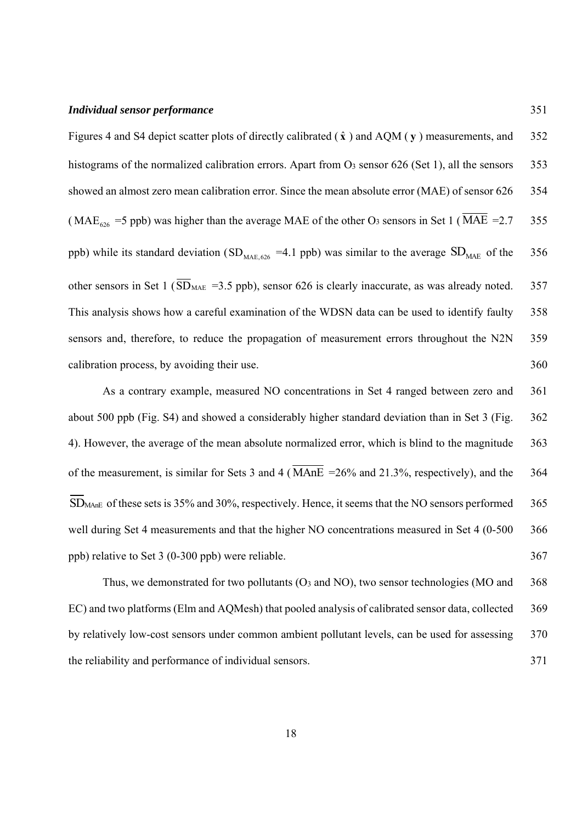#### *Individual sensor performance* 351

Figures 4 and S4 depict scatter plots of directly calibrated  $(\hat{x})$  and AQM ( $y$ ) measurements, and 352 histograms of the normalized calibration errors. Apart from O<sub>3</sub> sensor 626 (Set 1), all the sensors 353 showed an almost zero mean calibration error. Since the mean absolute error (MAE) of sensor 626 354 ( MAE<sub>626</sub> = 5 ppb) was higher than the average MAE of the other O<sub>3</sub> sensors in Set 1 ( $\overline{\text{MAE}}$  = 2.7 355 ppb) while its standard deviation (SD<sub>MAE,626</sub> = 4.1 ppb) was similar to the average  $SD<sub>MAE</sub>$  of the 356 other sensors in Set 1 ( $\overline{SD}_{MAE}$  =3.5 ppb), sensor 626 is clearly inaccurate, as was already noted. 357 This analysis shows how a careful examination of the WDSN data can be used to identify faulty 358 sensors and, therefore, to reduce the propagation of measurement errors throughout the N2N 359 calibration process, by avoiding their use. 360

As a contrary example, measured NO concentrations in Set 4 ranged between zero and 361 about 500 ppb (Fig. S4) and showed a considerably higher standard deviation than in Set 3 (Fig. 362 4). However, the average of the mean absolute normalized error, which is blind to the magnitude 363 of the measurement, is similar for Sets 3 and 4 ( $\overline{\text{MAnE}}$  =26% and 21.3%, respectively), and the 364 SD<sub>MAnE</sub> of these sets is 35% and 30%, respectively. Hence, it seems that the NO sensors performed 365 well during Set 4 measurements and that the higher NO concentrations measured in Set 4 (0-500 366) ppb) relative to Set 3 (0-300 ppb) were reliable. 367

Thus, we demonstrated for two pollutants  $(O_3 \text{ and } NO)$ , two sensor technologies (MO and 368) EC) and two platforms (Elm and AQMesh) that pooled analysis of calibrated sensor data, collected 369 by relatively low-cost sensors under common ambient pollutant levels, can be used for assessing 370 the reliability and performance of individual sensors. 371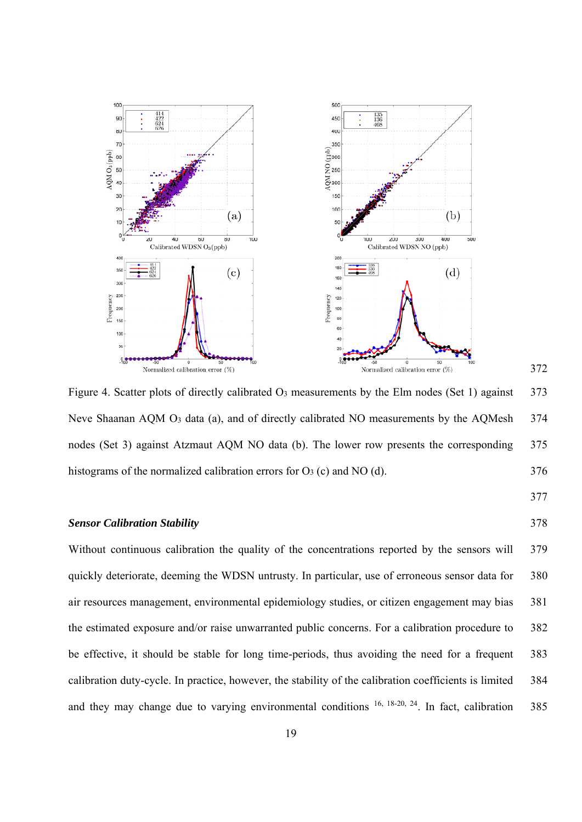

Figure 4. Scatter plots of directly calibrated O<sub>3</sub> measurements by the Elm nodes (Set 1) against 373 Neve Shaanan AQM O<sub>3</sub> data (a), and of directly calibrated NO measurements by the AQMesh 374 nodes (Set 3) against Atzmaut AQM NO data (b). The lower row presents the corresponding 375 histograms of the normalized calibration errors for  $O_3$  (c) and NO (d).  $376$ 

# 377

372

#### *Sensor Calibration Stability* 378

Without continuous calibration the quality of the concentrations reported by the sensors will 379 quickly deteriorate, deeming the WDSN untrusty. In particular, use of erroneous sensor data for 380 air resources management, environmental epidemiology studies, or citizen engagement may bias 381 the estimated exposure and/or raise unwarranted public concerns. For a calibration procedure to 382 be effective, it should be stable for long time-periods, thus avoiding the need for a frequent 383 calibration duty-cycle. In practice, however, the stability of the calibration coefficients is limited 384 and they may change due to varying environmental conditions  $16$ ,  $18-20$ ,  $24$ . In fact, calibration 385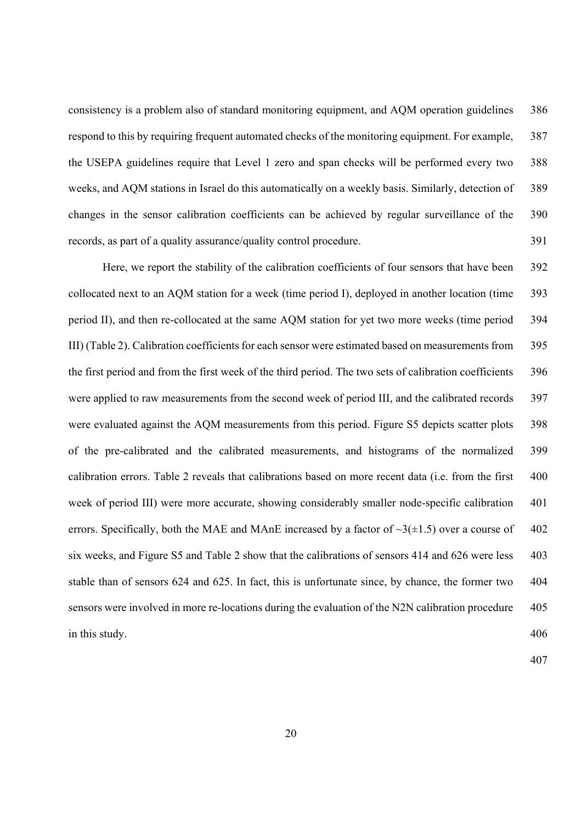consistency is a problem also of standard monitoring equipment, and AQM operation guidelines 386 respond to this by requiring frequent automated checks of the monitoring equipment. For example, 387 the USEPA guidelines require that Level 1 zero and span checks will be performed every two 388 weeks, and AQM stations in Israel do this automatically on a weekly basis. Similarly, detection of 389 changes in the sensor calibration coefficients can be achieved by regular surveillance of the 390 records, as part of a quality assurance/quality control procedure. 391

Here, we report the stability of the calibration coefficients of four sensors that have been 392 collocated next to an AQM station for a week (time period I), deployed in another location (time 393 period II), and then re-collocated at the same AQM station for yet two more weeks (time period 394 III) (Table 2). Calibration coefficients for each sensor were estimated based on measurements from 395 the first period and from the first week of the third period. The two sets of calibration coefficients 396 were applied to raw measurements from the second week of period III, and the calibrated records 397 were evaluated against the AQM measurements from this period. Figure S5 depicts scatter plots 398 of the pre-calibrated and the calibrated measurements, and histograms of the normalized 399 calibration errors. Table 2 reveals that calibrations based on more recent data (i.e. from the first 400 week of period III) were more accurate, showing considerably smaller node-specific calibration 401 errors. Specifically, both the MAE and MAnE increased by a factor of  $\sim 3(\pm 1.5)$  over a course of 402 six weeks, and Figure S5 and Table 2 show that the calibrations of sensors 414 and 626 were less 403 stable than of sensors 624 and 625. In fact, this is unfortunate since, by chance, the former two 404 sensors were involved in more re-locations during the evaluation of the N2N calibration procedure 405 in this study. 406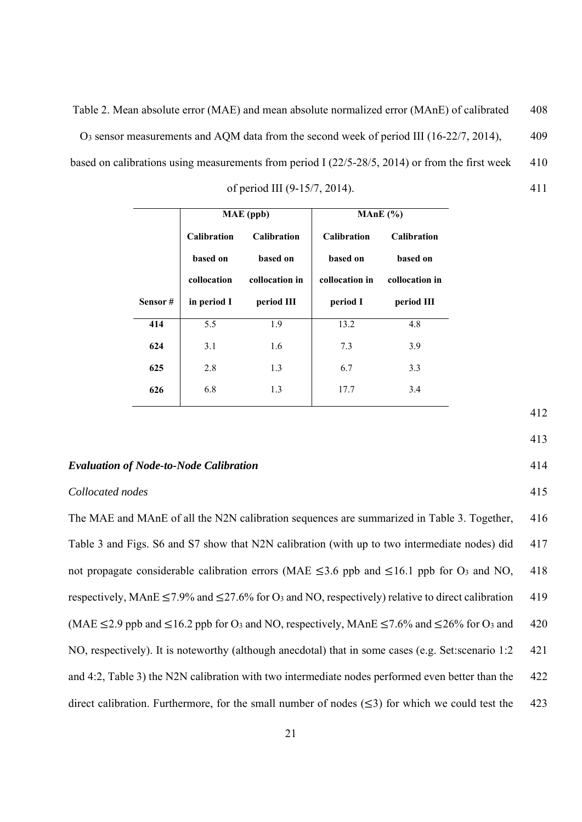Table 2. Mean absolute error (MAE) and mean absolute normalized error (MAnE) of calibrated 408 O3 sensor measurements and AQM data from the second week of period III (16-22/7, 2014), 409 based on calibrations using measurements from period I (22/5-28/5, 2014) or from the first week 410

| of period III (9-15/7, 2014). | 411 |
|-------------------------------|-----|

|         |                    | MAE (ppb)          | MAnE $(\% )$       |                    |
|---------|--------------------|--------------------|--------------------|--------------------|
|         | <b>Calibration</b> | <b>Calibration</b> | <b>Calibration</b> | <b>Calibration</b> |
|         | based on           | based on           | based on           | based on           |
|         | collocation        | collocation in     | collocation in     | collocation in     |
| Sensor# | in period I        | period III         | period I           | period III         |
| 414     | 5.5                | 1.9                | 13.2               | 4.8                |
| 624     | 3.1                | 1.6                | 7.3                | 3.9                |
| 625     | 2.8                | 1.3                | 6.7                | 3.3                |
| 626     | 6.8                | 1.3                | 17.7               | 3.4                |

#### *Evaluation of Node-to-Node Calibration* 414

#### *Collocated nodes* 415

The MAE and MAnE of all the N2N calibration sequences are summarized in Table 3. Together, 416 Table 3 and Figs. S6 and S7 show that N2N calibration (with up to two intermediate nodes) did 417 not propagate considerable calibration errors (MAE  $\leq$ 3.6 ppb and  $\leq$ 16.1 ppb for O<sub>3</sub> and NO, 418 respectively, MAnE  $\leq$  7.9% and  $\leq$  27.6% for O<sub>3</sub> and NO, respectively) relative to direct calibration 419 (MAE  $\leq$  2.9 ppb and  $\leq$  16.2 ppb for O<sub>3</sub> and NO, respectively, MAnE  $\leq$  7.6% and  $\leq$  26% for O<sub>3</sub> and 420 NO, respectively). It is noteworthy (although anecdotal) that in some cases (e.g. Set:scenario 1:2 421 and 4:2, Table 3) the N2N calibration with two intermediate nodes performed even better than the 422 direct calibration. Furthermore, for the small number of nodes  $(\leq 3)$  for which we could test the 423

412

- 
-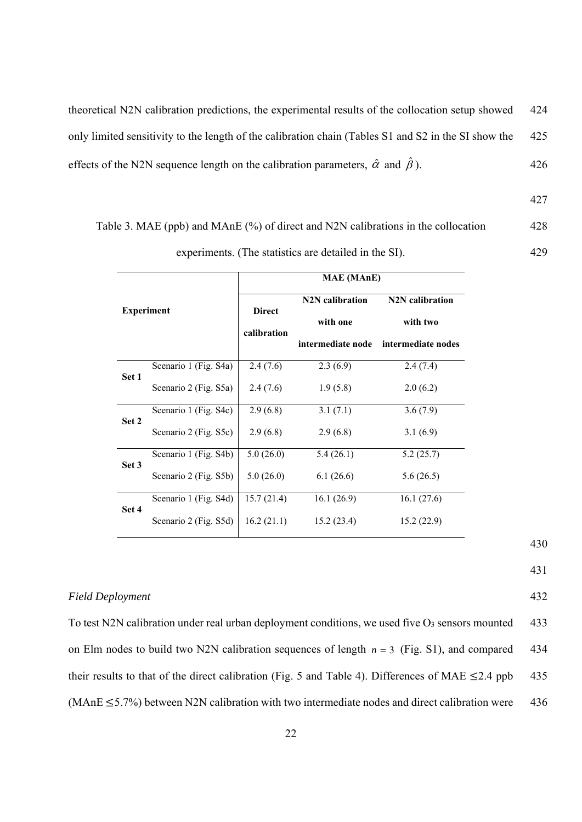theoretical N2N calibration predictions, the experimental results of the collocation setup showed 424 only limited sensitivity to the length of the calibration chain (Tables S1 and S2 in the SI show the 425 effects of the N2N sequence length on the calibration parameters,  $\hat{\alpha}$  and  $\hat{\beta}$ ). ). 426

427

# Table 3. MAE (ppb) and MAnE (%) of direct and N2N calibrations in the collocation 428

| experiments. (The statistics are detailed in the SI). | 429 |
|-------------------------------------------------------|-----|

|       |                       |               | <b>MAE</b> (MAnE)            |                              |
|-------|-----------------------|---------------|------------------------------|------------------------------|
|       | <b>Experiment</b>     | <b>Direct</b> | N <sub>2</sub> N calibration | N <sub>2</sub> N calibration |
|       |                       |               | with one                     | with two                     |
|       |                       | calibration   | intermediate node            | intermediate nodes           |
|       | Scenario 1 (Fig. S4a) | 2.4(7.6)      | 2.3(6.9)                     | 2.4(7.4)                     |
| Set 1 | Scenario 2 (Fig. S5a) | 2.4(7.6)      | 1.9(5.8)                     | 2.0(6.2)                     |
| Set 2 | Scenario 1 (Fig. S4c) | 2.9(6.8)      | 3.1(7.1)                     | 3.6(7.9)                     |
|       | Scenario 2 (Fig. S5c) | 2.9(6.8)      | 2.9(6.8)                     | 3.1(6.9)                     |
| Set 3 | Scenario 1 (Fig. S4b) | 5.0(26.0)     | 5.4(26.1)                    | 5.2(25.7)                    |
|       | Scenario 2 (Fig. S5b) | 5.0(26.0)     | 6.1(26.6)                    | 5.6(26.5)                    |
| Set 4 | Scenario 1 (Fig. S4d) | 15.7(21.4)    | 16.1(26.9)                   | 16.1(27.6)                   |
|       | Scenario 2 (Fig. S5d) | 16.2(21.1)    | 15.2(23.4)                   | 15.2(22.9)                   |

*Field Deployment* 432

To test N2N calibration under real urban deployment conditions, we used five O3 sensors mounted 433 on Elm nodes to build two N2N calibration sequences of length  $n = 3$  (Fig. S1), and compared 434 their results to that of the direct calibration (Fig. 5 and Table 4). Differences of MAE  $\leq$ 2.4 ppb 435 (MAnE  $\leq$  5.7%) between N2N calibration with two intermediate nodes and direct calibration were 436

430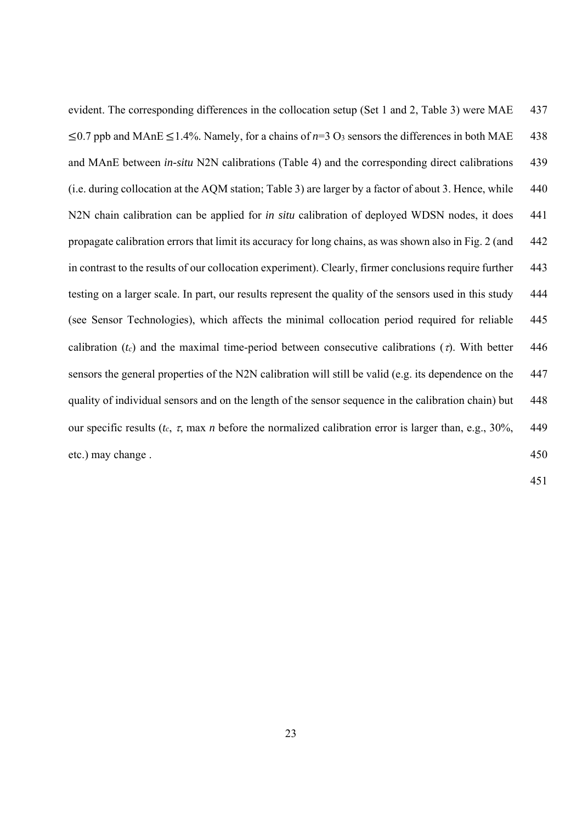evident. The corresponding differences in the collocation setup (Set 1 and 2, Table 3) were MAE 437  $\leq$ 0.7 ppb and MAnE  $\leq$ 1.4%. Namely, for a chains of *n*=3 O<sub>3</sub> sensors the differences in both MAE 438 and MAnE between *in-situ* N2N calibrations (Table 4) and the corresponding direct calibrations 439 (i.e. during collocation at the AQM station; Table 3) are larger by a factor of about 3. Hence, while 440 N2N chain calibration can be applied for *in situ* calibration of deployed WDSN nodes, it does 441 propagate calibration errors that limit its accuracy for long chains, as was shown also in Fig. 2 (and 442 in contrast to the results of our collocation experiment). Clearly, firmer conclusions require further 443 testing on a larger scale. In part, our results represent the quality of the sensors used in this study 444 (see Sensor Technologies), which affects the minimal collocation period required for reliable 445 calibration ( $t_c$ ) and the maximal time-period between consecutive calibrations ( $\tau$ ). With better 446 sensors the general properties of the N2N calibration will still be valid (e.g. its dependence on the 447 quality of individual sensors and on the length of the sensor sequence in the calibration chain) but 448 our specific results ( $t_c$ ,  $\tau$ , max *n* before the normalized calibration error is larger than, e.g., 30%, 449 etc.) may change . 450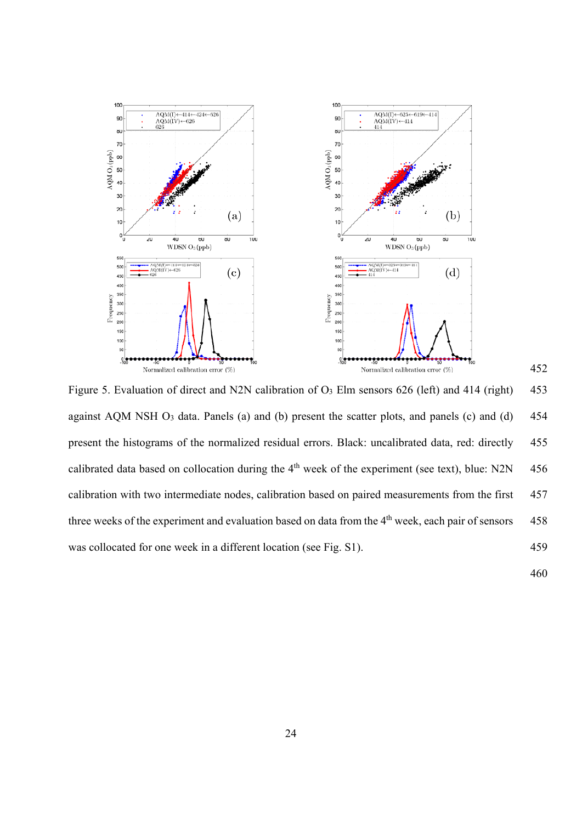

Figure 5. Evaluation of direct and N2N calibration of O<sub>3</sub> Elm sensors 626 (left) and 414 (right) 453 against AQM NSH O<sub>3</sub> data. Panels (a) and (b) present the scatter plots, and panels (c) and (d) 454 present the histograms of the normalized residual errors. Black: uncalibrated data, red: directly 455 calibrated data based on collocation during the  $4<sup>th</sup>$  week of the experiment (see text), blue: N2N 456 calibration with two intermediate nodes, calibration based on paired measurements from the first 457 three weeks of the experiment and evaluation based on data from the 4<sup>th</sup> week, each pair of sensors 458 was collocated for one week in a different location (see Fig. S1). 459

460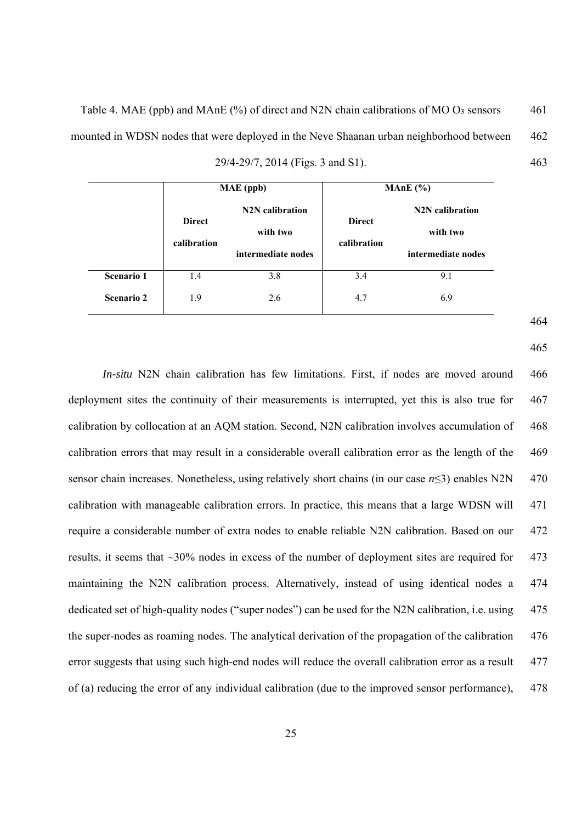Table 4. MAE (ppb) and MAnE (%) of direct and N2N chain calibrations of MO O3 sensors 461 mounted in WDSN nodes that were deployed in the Neve Shaanan urban neighborhood between 462 29/4-29/7, 2014 (Figs. 3 and S1). 463

|                   |                              | MAE (ppb)                                                      | MAnE $(%)$                   |                                                                |  |
|-------------------|------------------------------|----------------------------------------------------------------|------------------------------|----------------------------------------------------------------|--|
|                   | <b>Direct</b><br>calibration | N <sub>2</sub> N calibration<br>with two<br>intermediate nodes | <b>Direct</b><br>calibration | N <sub>2</sub> N calibration<br>with two<br>intermediate nodes |  |
| <b>Scenario 1</b> | 1.4                          | 3.8                                                            | 3.4                          | 9.1                                                            |  |
| <b>Scenario 2</b> | 1.9                          | 2.6                                                            | 4.7                          | 6.9                                                            |  |

464

465

*In-situ* N2N chain calibration has few limitations. First, if nodes are moved around 466 deployment sites the continuity of their measurements is interrupted, yet this is also true for 467 calibration by collocation at an AQM station. Second, N2N calibration involves accumulation of 468 calibration errors that may result in a considerable overall calibration error as the length of the 469 sensor chain increases. Nonetheless, using relatively short chains (in our case *n*≤3) enables N2N 470 calibration with manageable calibration errors. In practice, this means that a large WDSN will 471 require a considerable number of extra nodes to enable reliable N2N calibration. Based on our 472 results, it seems that ~30% nodes in excess of the number of deployment sites are required for 473 maintaining the N2N calibration process. Alternatively, instead of using identical nodes a 474 dedicated set of high-quality nodes ("super nodes") can be used for the N2N calibration, i.e. using 475 the super-nodes as roaming nodes. The analytical derivation of the propagation of the calibration 476 error suggests that using such high-end nodes will reduce the overall calibration error as a result 477 of (a) reducing the error of any individual calibration (due to the improved sensor performance), 478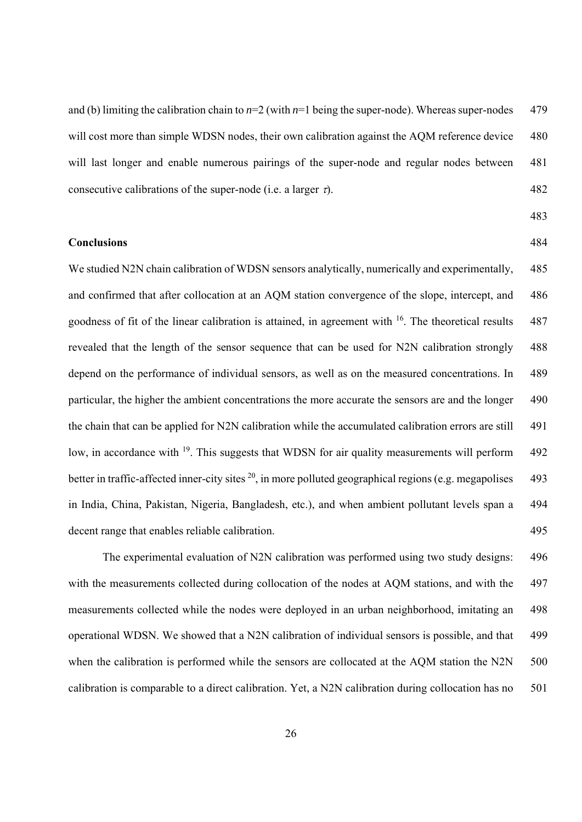and (b) limiting the calibration chain to  $n=2$  (with  $n=1$  being the super-node). Whereas super-nodes 479 will cost more than simple WDSN nodes, their own calibration against the AQM reference device 480 will last longer and enable numerous pairings of the super-node and regular nodes between 481 consecutive calibrations of the super-node (i.e. a larger  $\tau$ ). 482

483

# **Conclusions** 484

We studied N2N chain calibration of WDSN sensors analytically, numerically and experimentally, 485 and confirmed that after collocation at an AOM station convergence of the slope, intercept, and 486 goodness of fit of the linear calibration is attained, in agreement with  $16$ . The theoretical results 487 revealed that the length of the sensor sequence that can be used for N2N calibration strongly 488 depend on the performance of individual sensors, as well as on the measured concentrations. In 489 particular, the higher the ambient concentrations the more accurate the sensors are and the longer 490 the chain that can be applied for N2N calibration while the accumulated calibration errors are still 491 low, in accordance with <sup>19</sup>. This suggests that WDSN for air quality measurements will perform 492 better in traffic-affected inner-city sites  $^{20}$ , in more polluted geographical regions (e.g. megapolises 493 in India, China, Pakistan, Nigeria, Bangladesh, etc.), and when ambient pollutant levels span a 494 decent range that enables reliable calibration. 495

The experimental evaluation of N2N calibration was performed using two study designs: 496 with the measurements collected during collocation of the nodes at AQM stations, and with the 497 measurements collected while the nodes were deployed in an urban neighborhood, imitating an 498 operational WDSN. We showed that a N2N calibration of individual sensors is possible, and that 499 when the calibration is performed while the sensors are collocated at the AQM station the N2N 500 calibration is comparable to a direct calibration. Yet, a N2N calibration during collocation has no 501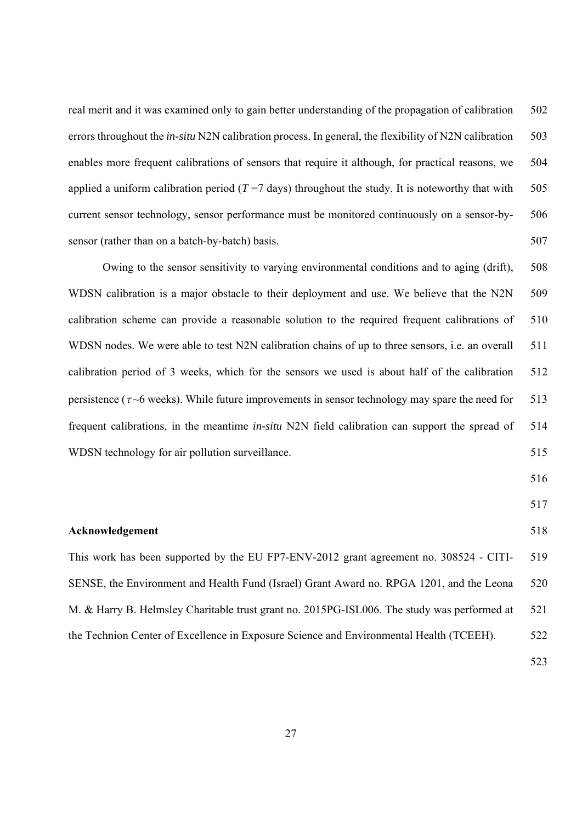real merit and it was examined only to gain better understanding of the propagation of calibration 502 errors throughout the *in-situ* N2N calibration process. In general, the flexibility of N2N calibration 503 enables more frequent calibrations of sensors that require it although, for practical reasons, we 504 applied a uniform calibration period  $(T=7$  days) throughout the study. It is noteworthy that with 505 current sensor technology, sensor performance must be monitored continuously on a sensor-by- 506 sensor (rather than on a batch-by-batch) basis. 507

Owing to the sensor sensitivity to varying environmental conditions and to aging (drift), 508 WDSN calibration is a major obstacle to their deployment and use. We believe that the N2N 509 calibration scheme can provide a reasonable solution to the required frequent calibrations of 510 WDSN nodes. We were able to test N2N calibration chains of up to three sensors, i.e. an overall 511 calibration period of 3 weeks, which for the sensors we used is about half of the calibration 512 persistence ( $\tau$  –6 weeks). While future improvements in sensor technology may spare the need for 513 frequent calibrations, in the meantime *in-situ* N2N field calibration can support the spread of 514 WDSN technology for air pollution surveillance. 515

- 516
- 517

# **Acknowledgement** 518

This work has been supported by the EU FP7-ENV-2012 grant agreement no. 308524 - CITI- 519 SENSE, the Environment and Health Fund (Israel) Grant Award no. RPGA 1201, and the Leona 520 M. & Harry B. Helmsley Charitable trust grant no. 2015PG-ISL006. The study was performed at 521 the Technion Center of Excellence in Exposure Science and Environmental Health (TCEEH). 522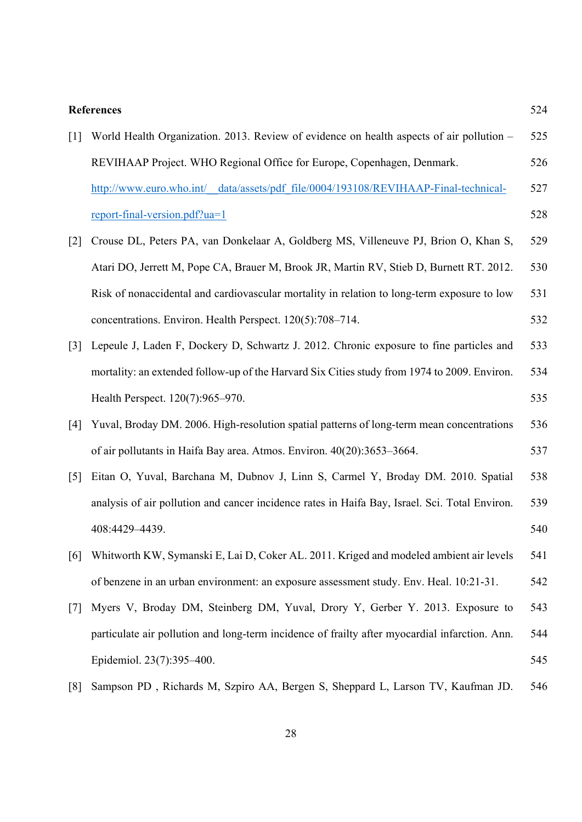# **References** 524

| $\lceil 1 \rceil$                 | World Health Organization. 2013. Review of evidence on health aspects of air pollution –       | 525 |
|-----------------------------------|------------------------------------------------------------------------------------------------|-----|
|                                   | REVIHAAP Project. WHO Regional Office for Europe, Copenhagen, Denmark.                         | 526 |
|                                   | http://www.euro.who.int/ data/assets/pdf file/0004/193108/REVIHAAP-Final-technical-            | 527 |
|                                   | report-final-version.pdf?ua=1                                                                  | 528 |
| $[2]$                             | Crouse DL, Peters PA, van Donkelaar A, Goldberg MS, Villeneuve PJ, Brion O, Khan S,            | 529 |
|                                   | Atari DO, Jerrett M, Pope CA, Brauer M, Brook JR, Martin RV, Stieb D, Burnett RT. 2012.        | 530 |
|                                   | Risk of nonaccidental and cardiovascular mortality in relation to long-term exposure to low    | 531 |
|                                   | concentrations. Environ. Health Perspect. 120(5):708–714.                                      | 532 |
| $\lceil 3 \rceil$                 | Lepeule J, Laden F, Dockery D, Schwartz J. 2012. Chronic exposure to fine particles and        | 533 |
|                                   | mortality: an extended follow-up of the Harvard Six Cities study from 1974 to 2009. Environ.   | 534 |
|                                   | Health Perspect. 120(7):965–970.                                                               | 535 |
| [4]                               | Yuval, Broday DM. 2006. High-resolution spatial patterns of long-term mean concentrations      | 536 |
|                                   | of air pollutants in Haifa Bay area. Atmos. Environ. 40(20):3653-3664.                         | 537 |
| $\begin{bmatrix} 5 \end{bmatrix}$ | Eitan O, Yuval, Barchana M, Dubnov J, Linn S, Carmel Y, Broday DM. 2010. Spatial               | 538 |
|                                   | analysis of air pollution and cancer incidence rates in Haifa Bay, Israel. Sci. Total Environ. | 539 |
|                                   | 408:4429-4439.                                                                                 | 540 |
| [6]                               | Whitworth KW, Symanski E, Lai D, Coker AL. 2011. Kriged and modeled ambient air levels         | 541 |
|                                   | of benzene in an urban environment: an exposure assessment study. Env. Heal. 10:21-31.         | 542 |
| $\lceil 7 \rceil$                 | Myers V, Broday DM, Steinberg DM, Yuval, Drory Y, Gerber Y. 2013. Exposure to                  | 543 |
|                                   | particulate air pollution and long-term incidence of frailty after myocardial infarction. Ann. | 544 |
|                                   | Epidemiol. 23(7):395-400.                                                                      | 545 |
| [8]                               | Sampson PD, Richards M, Szpiro AA, Bergen S, Sheppard L, Larson TV, Kaufman JD.                | 546 |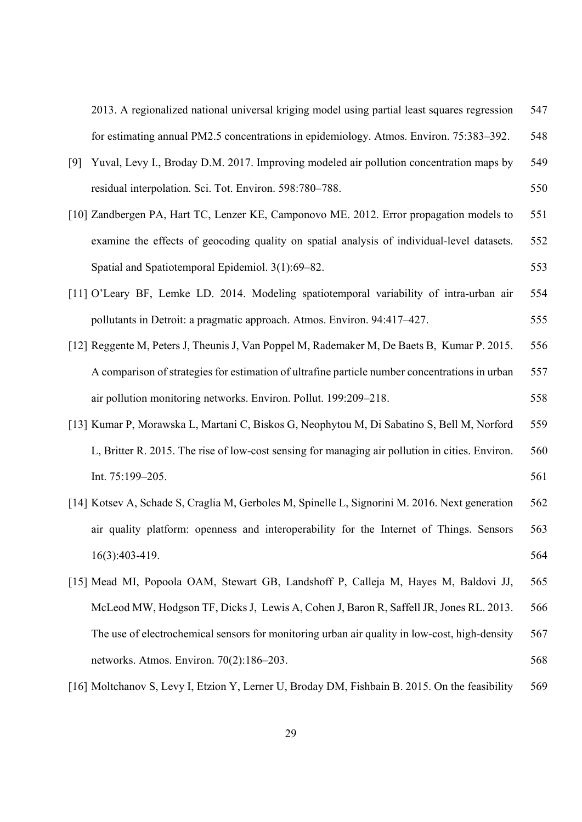2013. A regionalized national universal kriging model using partial least squares regression 547 for estimating annual PM2.5 concentrations in epidemiology. Atmos. Environ. 75:383–392. 548

| [9] Yuval, Levy I., Broday D.M. 2017. Improving modeled air pollution concentration maps by | 549 |
|---------------------------------------------------------------------------------------------|-----|
| residual interpolation. Sci. Tot. Environ. 598:780–788.                                     | 550 |

- [10] Zandbergen PA, Hart TC, Lenzer KE, Camponovo ME. 2012. Error propagation models to 551 examine the effects of geocoding quality on spatial analysis of individual-level datasets. 552 Spatial and Spatiotemporal Epidemiol. 3(1):69–82. 553
- [11] O'Leary BF, Lemke LD. 2014. Modeling spatiotemporal variability of intra-urban air 554 pollutants in Detroit: a pragmatic approach. Atmos. Environ. 94:417–427. 555
- [12] Reggente M, Peters J, Theunis J, Van Poppel M, Rademaker M, De Baets B, Kumar P. 2015. 556 A comparison of strategies for estimation of ultrafine particle number concentrations in urban 557 air pollution monitoring networks. Environ. Pollut. 199:209–218. 558
- [13] Kumar P, Morawska L, Martani C, Biskos G, Neophytou M, Di Sabatino S, Bell M, Norford 559 L, Britter R. 2015. The rise of low-cost sensing for managing air pollution in cities. Environ. 560  $Int. 75:199-205.$  561
- [14] Kotsev A, Schade S, Craglia M, Gerboles M, Spinelle L, Signorini M. 2016. Next generation 562 air quality platform: openness and interoperability for the Internet of Things. Sensors 563 16(3):403-419. 564
- [15] Mead MI, Popoola OAM, Stewart GB, Landshoff P, Calleja M, Hayes M, Baldovi JJ, 565 McLeod MW, Hodgson TF, Dicks J, Lewis A, Cohen J, Baron R, Saffell JR, Jones RL. 2013. 566 The use of electrochemical sensors for monitoring urban air quality in low-cost, high-density 567 networks. Atmos. Environ. 70(2):186–203. 568
- [16] Moltchanov S, Levy I, Etzion Y, Lerner U, Broday DM, Fishbain B. 2015. On the feasibility 569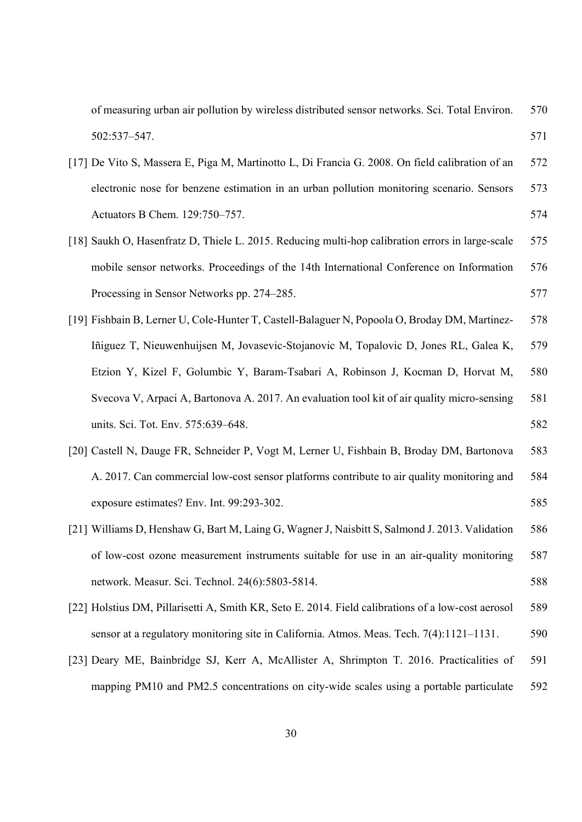| of measuring urban air pollution by wireless distributed sensor networks. Sci. Total Environ.      | 570 |
|----------------------------------------------------------------------------------------------------|-----|
| 502:537-547.                                                                                       | 571 |
| [17] De Vito S, Massera E, Piga M, Martinotto L, Di Francia G. 2008. On field calibration of an    | 572 |
| electronic nose for benzene estimation in an urban pollution monitoring scenario. Sensors          | 573 |
| Actuators B Chem. 129:750-757.                                                                     | 574 |
| [18] Saukh O, Hasenfratz D, Thiele L. 2015. Reducing multi-hop calibration errors in large-scale   | 575 |
| mobile sensor networks. Proceedings of the 14th International Conference on Information            | 576 |
| Processing in Sensor Networks pp. 274–285.                                                         | 577 |
| [19] Fishbain B, Lerner U, Cole-Hunter T, Castell-Balaguer N, Popoola O, Broday DM, Martinez-      | 578 |
| Iñiguez T, Nieuwenhuijsen M, Jovasevic-Stojanovic M, Topalovic D, Jones RL, Galea K,               | 579 |
| Etzion Y, Kizel F, Golumbic Y, Baram-Tsabari A, Robinson J, Kocman D, Horvat M,                    | 580 |
| Svecova V, Arpaci A, Bartonova A. 2017. An evaluation tool kit of air quality micro-sensing        | 581 |
| units. Sci. Tot. Env. 575:639-648.                                                                 | 582 |
| [20] Castell N, Dauge FR, Schneider P, Vogt M, Lerner U, Fishbain B, Broday DM, Bartonova          | 583 |
| A. 2017. Can commercial low-cost sensor platforms contribute to air quality monitoring and         | 584 |
| exposure estimates? Env. Int. 99:293-302.                                                          | 585 |
| [21] Williams D, Henshaw G, Bart M, Laing G, Wagner J, Naisbitt S, Salmond J. 2013. Validation     | 586 |
| of low-cost ozone measurement instruments suitable for use in an air-quality monitoring            | 587 |
| network. Measur. Sci. Technol. 24(6):5803-5814.                                                    | 588 |
| [22] Holstius DM, Pillarisetti A, Smith KR, Seto E. 2014. Field calibrations of a low-cost aerosol | 589 |
| sensor at a regulatory monitoring site in California. Atmos. Meas. Tech. 7(4):1121–1131.           | 590 |
| [23] Deary ME, Bainbridge SJ, Kerr A, McAllister A, Shrimpton T. 2016. Practicalities of           | 591 |
| mapping PM10 and PM2.5 concentrations on city-wide scales using a portable particulate             | 592 |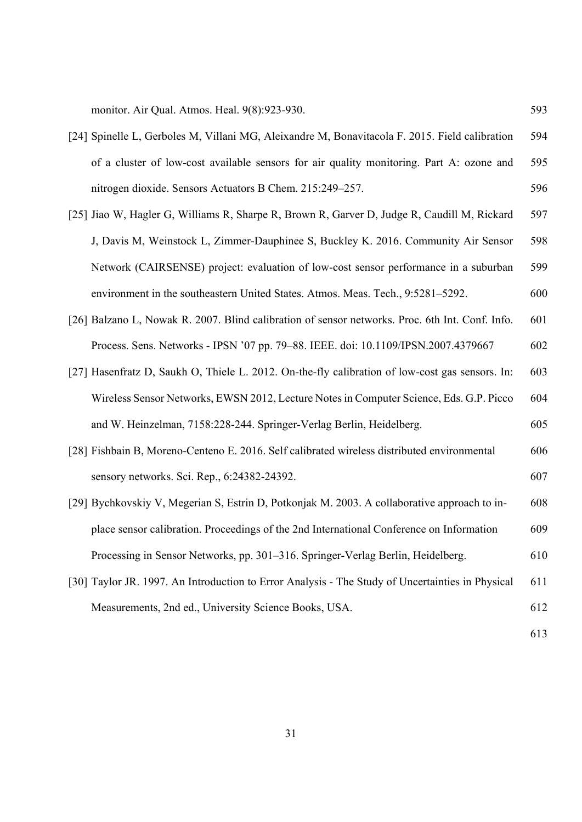monitor. Air Qual. Atmos. Heal. 9(8):923-930. 593

- [24] Spinelle L, Gerboles M, Villani MG, Aleixandre M, Bonavitacola F. 2015. Field calibration 594 of a cluster of low-cost available sensors for air quality monitoring. Part A: ozone and 595 nitrogen dioxide. Sensors Actuators B Chem. 215:249–257. 596
- [25] Jiao W, Hagler G, Williams R, Sharpe R, Brown R, Garver D, Judge R, Caudill M, Rickard 597 J, Davis M, Weinstock L, Zimmer-Dauphinee S, Buckley K. 2016. Community Air Sensor 598 Network (CAIRSENSE) project: evaluation of low-cost sensor performance in a suburban 599 environment in the southeastern United States. Atmos. Meas. Tech., 9:5281–5292. 600
- [26] Balzano L, Nowak R. 2007. Blind calibration of sensor networks. Proc. 6th Int. Conf. Info. 601 Process. Sens. Networks - IPSN '07 pp. 79–88. IEEE. doi: 10.1109/IPSN.2007.4379667 602
- [27] Hasenfratz D, Saukh O, Thiele L. 2012. On-the-fly calibration of low-cost gas sensors. In: 603 Wireless Sensor Networks, EWSN 2012, Lecture Notes in Computer Science, Eds. G.P. Picco 604 and W. Heinzelman, 7158:228-244. Springer-Verlag Berlin, Heidelberg. 605
- [28] Fishbain B, Moreno-Centeno E. 2016. Self calibrated wireless distributed environmental 606 sensory networks. Sci. Rep., 6:24382-24392. 607
- [29] Bychkovskiy V, Megerian S, Estrin D, Potkonjak M. 2003. A collaborative approach to in- 608 place sensor calibration. Proceedings of the 2nd International Conference on Information 609 Processing in Sensor Networks, pp. 301–316. Springer-Verlag Berlin, Heidelberg. 610
- [30] Taylor JR. 1997. An Introduction to Error Analysis The Study of Uncertainties in Physical 611 Measurements, 2nd ed., University Science Books, USA. 612
- 613